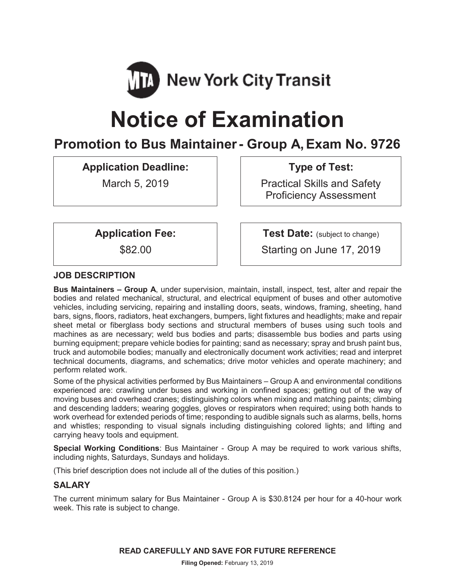

# **Notice of Examination**

# **Promotion to Bus Maintainer- Group A, Exam No. 9726**

**Application Deadline:**

March 5, 2019

**Type of Test:** 

Practical Skills and Safety Proficiency Assessment

**Application Fee:**

\$82.00

**Test Date:** (subject to change)

Starting on June 17, 2019

# **JOB DESCRIPTION**

**Bus Maintainers – Group A**, under supervision, maintain, install, inspect, test, alter and repair the bodies and related mechanical, structural, and electrical equipment of buses and other automotive vehicles, including servicing, repairing and installing doors, seats, windows, framing, sheeting, hand bars, signs, floors, radiators, heat exchangers, bumpers, light fixtures and headlights; make and repair sheet metal or fiberglass body sections and structural members of buses using such tools and machines as are necessary; weld bus bodies and parts; disassemble bus bodies and parts using burning equipment; prepare vehicle bodies for painting; sand as necessary; spray and brush paint bus, truck and automobile bodies; manually and electronically document work activities; read and interpret technical documents, diagrams, and schematics; drive motor vehicles and operate machinery; and perform related work.

Some of the physical activities performed by Bus Maintainers – Group A and environmental conditions experienced are: crawling under buses and working in confined spaces; getting out of the way of moving buses and overhead cranes; distinguishing colors when mixing and matching paints; climbing and descending ladders; wearing goggles, gloves or respirators when required; using both hands to work overhead for extended periods of time; responding to audible signals such as alarms, bells, horns and whistles; responding to visual signals including distinguishing colored lights; and lifting and carrying heavy tools and equipment.

**Special Working Conditions**: Bus Maintainer - Group A may be required to work various shifts, including nights, Saturdays, Sundays and holidays.

(This brief description does not include all of the duties of this position.)

# **SALARY**

The current minimum salary for Bus Maintainer - Group A is \$30.8124 per hour for a 40-hour work week. This rate is subject to change.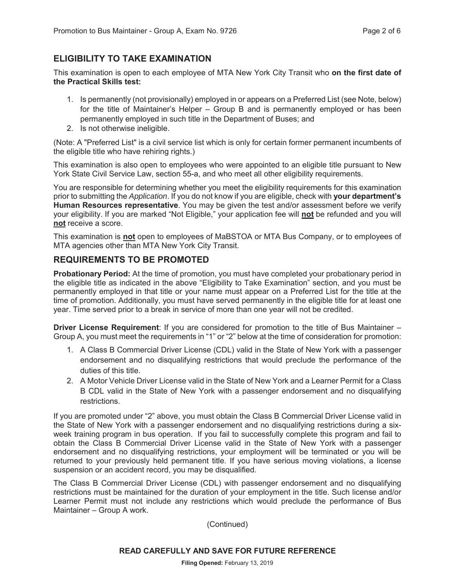# **ELIGIBILITY TO TAKE EXAMINATION**

This examination is open to each employee of MTA New York City Transit who **on the first date of the Practical Skills test:**

- 1. Is permanently (not provisionally) employed in or appears on a Preferred List (see Note, below) for the title of Maintainer's Helper – Group B and is permanently employed or has been permanently employed in such title in the Department of Buses; and
- 2. Is not otherwise ineligible.

(Note: A "Preferred List" is a civil service list which is only for certain former permanent incumbents of the eligible title who have rehiring rights.)

This examination is also open to employees who were appointed to an eligible title pursuant to New York State Civil Service Law, section 55-a, and who meet all other eligibility requirements.

You are responsible for determining whether you meet the eligibility requirements for this examination prior to submitting the *Application*. If you do not know if you are eligible, check with **your department's Human Resources representative**. You may be given the test and/or assessment before we verify your eligibility. If you are marked "Not Eligible," your application fee will **not** be refunded and you will **not** receive a score.

This examination is **not** open to employees of MaBSTOA or MTA Bus Company, or to employees of MTA agencies other than MTA New York City Transit.

# **REQUIREMENTS TO BE PROMOTED**

**Probationary Period:** At the time of promotion, you must have completed your probationary period in the eligible title as indicated in the above "Eligibility to Take Examination" section, and you must be permanently employed in that title or your name must appear on a Preferred List for the title at the time of promotion. Additionally, you must have served permanently in the eligible title for at least one year. Time served prior to a break in service of more than one year will not be credited.

**Driver License Requirement**: If you are considered for promotion to the title of Bus Maintainer – Group A, you must meet the requirements in "1" or "2" below at the time of consideration for promotion:

- 1. A Class B Commercial Driver License (CDL) valid in the State of New York with a passenger endorsement and no disqualifying restrictions that would preclude the performance of the duties of this title.
- 2. A Motor Vehicle Driver License valid in the State of New York and a Learner Permit for a Class B CDL valid in the State of New York with a passenger endorsement and no disqualifying restrictions.

If you are promoted under "2" above, you must obtain the Class B Commercial Driver License valid in the State of New York with a passenger endorsement and no disqualifying restrictions during a sixweek training program in bus operation. If you fail to successfully complete this program and fail to obtain the Class B Commercial Driver License valid in the State of New York with a passenger endorsement and no disqualifying restrictions, your employment will be terminated or you will be returned to your previously held permanent title. If you have serious moving violations, a license suspension or an accident record, you may be disqualified.

The Class B Commercial Driver License (CDL) with passenger endorsement and no disqualifying restrictions must be maintained for the duration of your employment in the title. Such license and/or Learner Permit must not include any restrictions which would preclude the performance of Bus Maintainer – Group A work.

(Continued)

#### **READ CAREFULLY AND SAVE FOR FUTURE REFERENCE**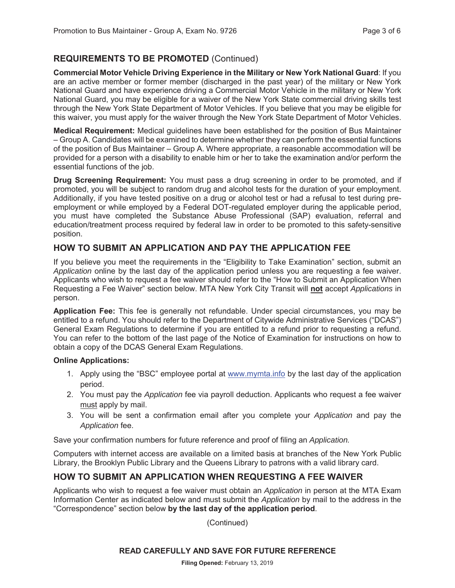# **REQUIREMENTS TO BE PROMOTED** (Continued)

**Commercial Motor Vehicle Driving Experience in the Military or New York National Guard**: If you are an active member or former member (discharged in the past year) of the military or New York National Guard and have experience driving a Commercial Motor Vehicle in the military or New York National Guard, you may be eligible for a waiver of the New York State commercial driving skills test through the New York State Department of Motor Vehicles. If you believe that you may be eligible for this waiver, you must apply for the waiver through the New York State Department of Motor Vehicles.

**Medical Requirement:** Medical guidelines have been established for the position of Bus Maintainer – Group A. Candidates will be examined to determine whether they can perform the essential functions of the position of Bus Maintainer – Group A. Where appropriate, a reasonable accommodation will be provided for a person with a disability to enable him or her to take the examination and/or perform the essential functions of the job.

**Drug Screening Requirement:** You must pass a drug screening in order to be promoted, and if promoted, you will be subject to random drug and alcohol tests for the duration of your employment. Additionally, if you have tested positive on a drug or alcohol test or had a refusal to test during preemployment or while employed by a Federal DOT-regulated employer during the applicable period, you must have completed the Substance Abuse Professional (SAP) evaluation, referral and education/treatment process required by federal law in order to be promoted to this safety-sensitive position.

# **HOW TO SUBMIT AN APPLICATION AND PAY THE APPLICATION FEE**

If you believe you meet the requirements in the "Eligibility to Take Examination" section, submit an *Application* online by the last day of the application period unless you are requesting a fee waiver. Applicants who wish to request a fee waiver should refer to the "How to Submit an Application When Requesting a Fee Waiver" section below. MTA New York City Transit will **not** accept *Applications* in person.

**Application Fee:** This fee is generally not refundable. Under special circumstances, you may be entitled to a refund. You should refer to the Department of Citywide Administrative Services ("DCAS") General Exam Regulations to determine if you are entitled to a refund prior to requesting a refund. You can refer to the bottom of the last page of the Notice of Examination for instructions on how to obtain a copy of the DCAS General Exam Regulations.

#### **Online Applications:**

- 1. Apply using the "BSC" employee portal at www.mymta.info by the last day of the application period.
- 2. You must pay the *Application* fee via payroll deduction. Applicants who request a fee waiver must apply by mail.
- 3. You will be sent a confirmation email after you complete your *Application* and pay the *Application* fee.

Save your confirmation numbers for future reference and proof of filing an *Application.*

Computers with internet access are available on a limited basis at branches of the New York Public Library, the Brooklyn Public Library and the Queens Library to patrons with a valid library card.

# **HOW TO SUBMIT AN APPLICATION WHEN REQUESTING A FEE WAIVER**

Applicants who wish to request a fee waiver must obtain an *Application* in person at the MTA Exam Information Center as indicated below and must submit the *Application* by mail to the address in the "Correspondence" section below **by the last day of the application period**.

(Continued)

#### **READ CAREFULLY AND SAVE FOR FUTURE REFERENCE**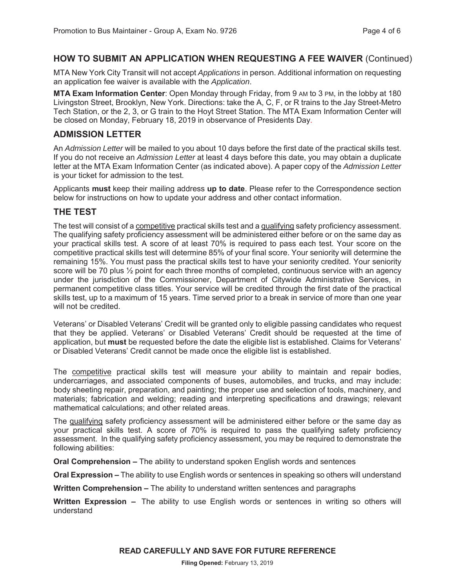#### **HOW TO SUBMIT AN APPLICATION WHEN REQUESTING A FEE WAIVER** (Continued)

MTA New York City Transit will not accept *Applications* in person. Additional information on requesting an application fee waiver is available with the *Application*.

**MTA Exam Information Center**: Open Monday through Friday, from 9 AM to 3 PM, in the lobby at 180 Livingston Street, Brooklyn, New York. Directions: take the A, C, F, or R trains to the Jay Street-Metro Tech Station, or the 2, 3, or G train to the Hoyt Street Station. The MTA Exam Information Center will be closed on Monday, February 18, 2019 in observance of Presidents Day.

## **ADMISSION LETTER**

An *Admission Letter* will be mailed to you about 10 days before the first date of the practical skills test. If you do not receive an *Admission Letter* at least 4 days before this date, you may obtain a duplicate letter at the MTA Exam Information Center (as indicated above). A paper copy of the *Admission Letter* is your ticket for admission to the test.

Applicants **must** keep their mailing address **up to date**. Please refer to the Correspondence section below for instructions on how to update your address and other contact information.

#### **THE TEST**

The test will consist of a competitive practical skills test and a qualifying safety proficiency assessment. The qualifying safety proficiency assessment will be administered either before or on the same day as your practical skills test. A score of at least 70% is required to pass each test. Your score on the competitive practical skills test will determine 85% of your final score. Your seniority will determine the remaining 15%. You must pass the practical skills test to have your seniority credited. Your seniority score will be 70 plus  $\frac{1}{2}$  point for each three months of completed, continuous service with an agency under the jurisdiction of the Commissioner, Department of Citywide Administrative Services, in permanent competitive class titles. Your service will be credited through the first date of the practical skills test, up to a maximum of 15 years. Time served prior to a break in service of more than one year will not be credited.

Veterans' or Disabled Veterans' Credit will be granted only to eligible passing candidates who request that they be applied. Veterans' or Disabled Veterans' Credit should be requested at the time of application, but **must** be requested before the date the eligible list is established. Claims for Veterans' or Disabled Veterans' Credit cannot be made once the eligible list is established.

The competitive practical skills test will measure your ability to maintain and repair bodies, undercarriages, and associated components of buses, automobiles, and trucks, and may include: body sheeting repair, preparation, and painting; the proper use and selection of tools, machinery, and materials; fabrication and welding; reading and interpreting specifications and drawings; relevant mathematical calculations; and other related areas.

The qualifying safety proficiency assessment will be administered either before or the same day as your practical skills test. A score of 70% is required to pass the qualifying safety proficiency assessment. In the qualifying safety proficiency assessment, you may be required to demonstrate the following abilities:

**Oral Comprehension –** The ability to understand spoken English words and sentences

**Oral Expression –** The ability to use English words or sentences in speaking so others will understand

**Written Comprehension –** The ability to understand written sentences and paragraphs

**Written Expression –** The ability to use English words or sentences in writing so others will understand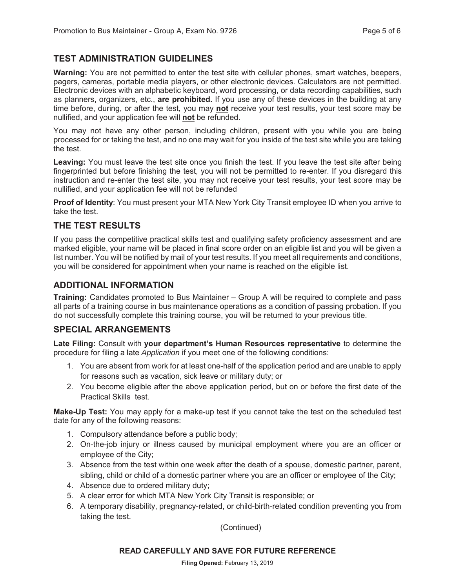## **TEST ADMINISTRATION GUIDELINES**

**Warning:** You are not permitted to enter the test site with cellular phones, smart watches, beepers, pagers, cameras, portable media players, or other electronic devices. Calculators are not permitted. Electronic devices with an alphabetic keyboard, word processing, or data recording capabilities, such as planners, organizers, etc., **are prohibited.** If you use any of these devices in the building at any time before, during, or after the test, you may **not** receive your test results, your test score may be nullified, and your application fee will **not** be refunded.

You may not have any other person, including children, present with you while you are being processed for or taking the test, and no one may wait for you inside of the test site while you are taking the test.

**Leaving:** You must leave the test site once you finish the test. If you leave the test site after being fingerprinted but before finishing the test, you will not be permitted to re-enter. If you disregard this instruction and re-enter the test site, you may not receive your test results, your test score may be nullified, and your application fee will not be refunded

**Proof of Identity**: You must present your MTA New York City Transit employee ID when you arrive to take the test.

#### **THE TEST RESULTS**

If you pass the competitive practical skills test and qualifying safety proficiency assessment and are marked eligible, your name will be placed in final score order on an eligible list and you will be given a list number. You will be notified by mail of your test results. If you meet all requirements and conditions, you will be considered for appointment when your name is reached on the eligible list.

#### **ADDITIONAL INFORMATION**

**Training:** Candidates promoted to Bus Maintainer – Group A will be required to complete and pass all parts of a training course in bus maintenance operations as a condition of passing probation. If you do not successfully complete this training course, you will be returned to your previous title.

#### **SPECIAL ARRANGEMENTS**

**Late Filing:** Consult with **your department's Human Resources representative** to determine the procedure for filing a late *Application* if you meet one of the following conditions:

- 1. You are absent from work for at least one-half of the application period and are unable to apply for reasons such as vacation, sick leave or military duty; or
- 2. You become eligible after the above application period, but on or before the first date of the Practical Skills test.

**Make-Up Test:** You may apply for a make-up test if you cannot take the test on the scheduled test date for any of the following reasons:

- 1. Compulsory attendance before a public body;
- 2. On-the-job injury or illness caused by municipal employment where you are an officer or employee of the City;
- 3. Absence from the test within one week after the death of a spouse, domestic partner, parent, sibling, child or child of a domestic partner where you are an officer or employee of the City;
- 4. Absence due to ordered military duty;
- 5. A clear error for which MTA New York City Transit is responsible; or
- 6. A temporary disability, pregnancy-related, or child-birth-related condition preventing you from taking the test.

(Continued)

#### **READ CAREFULLY AND SAVE FOR FUTURE REFERENCE**